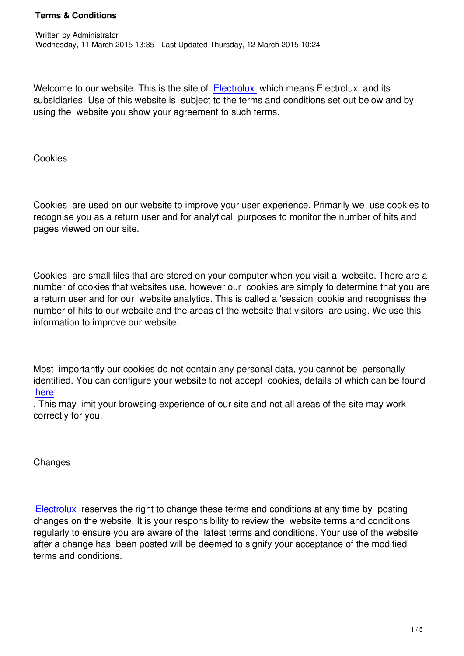Welcome to our website. This is the site of Electrolux which means Electrolux and its subsidiaries. Use of this website is subject to the terms and conditions set out below and by using the website you show your agreement to such terms.

Cookies

Cookies are used on our website to improve your user experience. Primarily we use cookies to recognise you as a return user and for analytical purposes to monitor the number of hits and pages viewed on our site.

Cookies are small files that are stored on your computer when you visit a website. There are a number of cookies that websites use, however our cookies are simply to determine that you are a return user and for our website analytics. This is called a 'session' cookie and recognises the number of hits to our website and the areas of the website that visitors are using. We use this information to improve our website.

Most importantly our cookies do not contain any personal data, you cannot be personally identified. You can configure your website to not accept cookies, details of which can be found here

. This may limit your browsing experience of our site and not all areas of the site may work correctly for you.

**Changes** 

Electrolux reserves the right to change these terms and conditions at any time by posting changes on the website. It is your responsibility to review the website terms and conditions regularly to ensure you are aware of the latest terms and conditions. Your use of the website [after a cha](http://electrolux.com.mk/)nge has been posted will be deemed to signify your acceptance of the modified terms and conditions.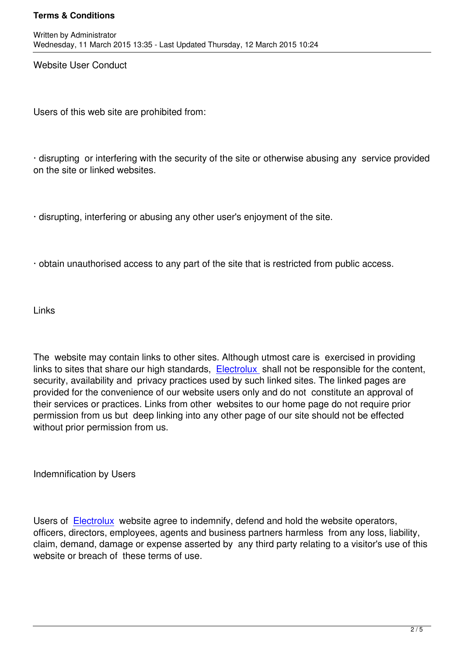Website User Conduct

Users of this web site are prohibited from:

· disrupting or interfering with the security of the site or otherwise abusing any service provided on the site or linked websites.

· disrupting, interfering or abusing any other user's enjoyment of the site.

· obtain unauthorised access to any part of the site that is restricted from public access.

Links

The website may contain links to other sites. Although utmost care is exercised in providing links to sites that share our high standards, Electrolux shall not be responsible for the content, security, availability and privacy practices used by such linked sites. The linked pages are provided for the convenience of our website users only and do not constitute an approval of their services or practices. Links from other [websites to](http://electrolux.com.mk/) our home page do not require prior permission from us but deep linking into any other page of our site should not be effected without prior permission from us.

Indemnification by Users

Users of Electrolux website agree to indemnify, defend and hold the website operators, officers, directors, employees, agents and business partners harmless from any loss, liability, claim, demand, damage or expense asserted by any third party relating to a visitor's use of this website o[r breach o](http://electrolux.com.mk/)f these terms of use.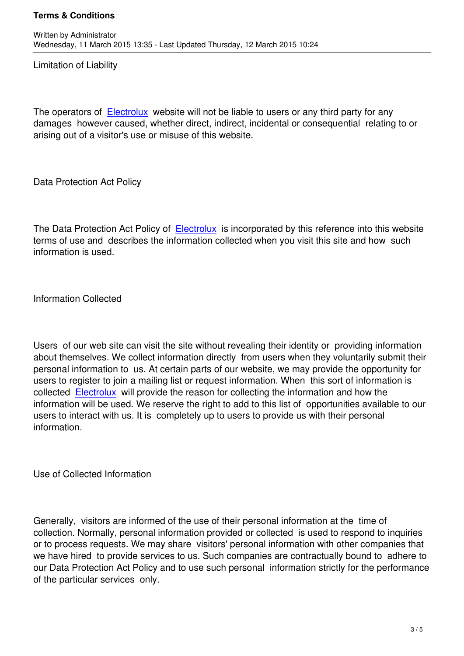Limitation of Liability

The operators of Electrolux website will not be liable to users or any third party for any damages however caused, whether direct, indirect, incidental or consequential relating to or arising out of a visitor's use or misuse of this website.

Data Protection Act Policy

The Data Protection Act Policy of Electrolux is incorporated by this reference into this website terms of use and describes the information collected when you visit this site and how such information is used.

Information Collected

Users of our web site can visit the site without revealing their identity or providing information about themselves. We collect information directly from users when they voluntarily submit their personal information to us. At certain parts of our website, we may provide the opportunity for users to register to join a mailing list or request information. When this sort of information is collected Electrolux will provide the reason for collecting the information and how the information will be used. We reserve the right to add to this list of opportunities available to our users to interact with us. It is completely up to users to provide us with their personal informatio[n.](http://electrolux.com.mk/)

Use of Collected Information

Generally, visitors are informed of the use of their personal information at the time of collection. Normally, personal information provided or collected is used to respond to inquiries or to process requests. We may share visitors' personal information with other companies that we have hired to provide services to us. Such companies are contractually bound to adhere to our Data Protection Act Policy and to use such personal information strictly for the performance of the particular services only.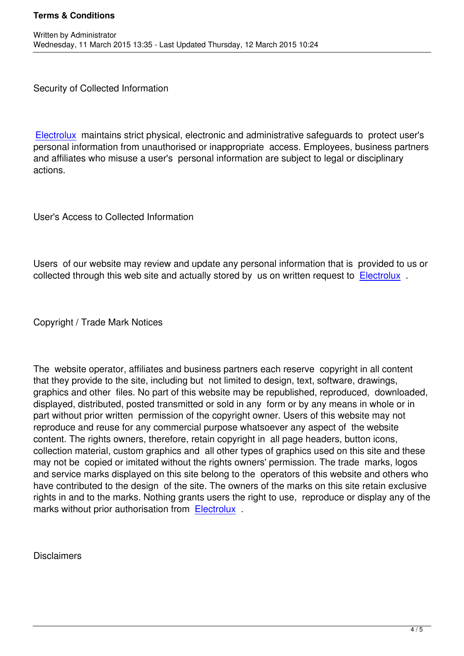Security of Collected Information

Written by Administrator and Administrator and Administrator and Administrator and Administrator and Administrator and Administrator and Administrator and Administrator and Administrator and Administrator and Administrator

Electrolux maintains strict physical, electronic and administrative safeguards to protect user's personal information from unauthorised or inappropriate access. Employees, business partners and affiliates who misuse a user's personal information are subject to legal or disciplinary [actions.](http://electrolux.com.mk/)

User's Access to Collected Information

Users of our website may review and update any personal information that is provided to us or collected through this web site and actually stored by us on written request to Electrolux.

Copyright / Trade Mark Notices

The website operator, affiliates and business partners each reserve copyright in all content that they provide to the site, including but not limited to design, text, software, drawings, graphics and other files. No part of this website may be republished, reproduced, downloaded, displayed, distributed, posted transmitted or sold in any form or by any means in whole or in part without prior written permission of the copyright owner. Users of this website may not reproduce and reuse for any commercial purpose whatsoever any aspect of the website content. The rights owners, therefore, retain copyright in all page headers, button icons, collection material, custom graphics and all other types of graphics used on this site and these may not be copied or imitated without the rights owners' permission. The trade marks, logos and service marks displayed on this site belong to the operators of this website and others who have contributed to the design of the site. The owners of the marks on this site retain exclusive rights in and to the marks. Nothing grants users the right to use, reproduce or display any of the marks without prior authorisation from Electrolux.

**Disclaimers**